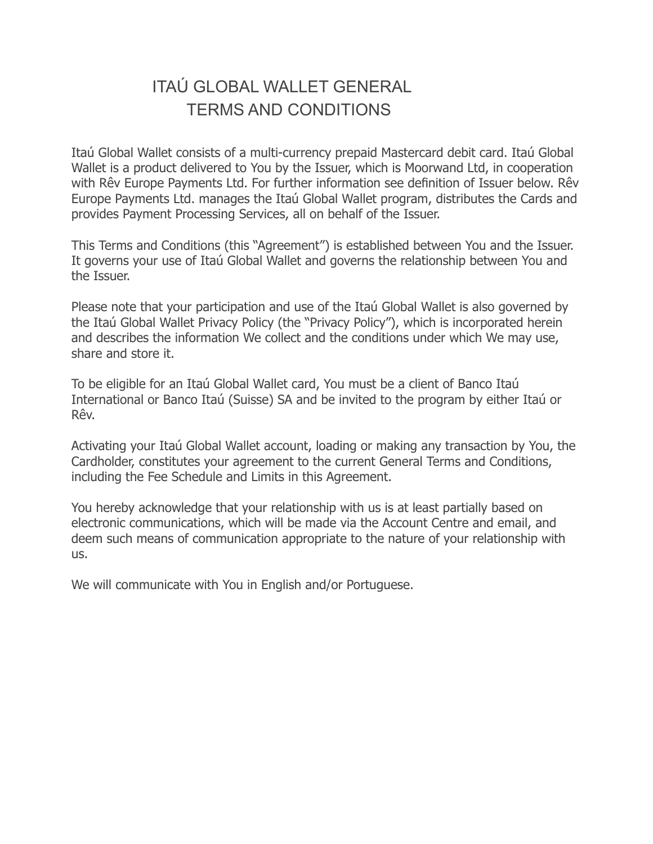#### ITAÚ GLOBAL WALLET GENERAL TERMS AND CONDITIONS

Itaú Global Wallet consists of a multi-currency prepaid Mastercard debit card. Itaú Global Wallet is a product delivered to You by the Issuer, which is Moorwand Ltd, in cooperation with Rêv Europe Payments Ltd. For further information see definition of Issuer below. Rêv Europe Payments Ltd. manages the Itaú Global Wallet program, distributes the Cards and provides Payment Processing Services, all on behalf of the Issuer.

This Terms and Conditions (this "Agreement") is established between You and the Issuer. It governs your use of Itaú Global Wallet and governs the relationship between You and the Issuer.

Please note that your participation and use of the Itaú Global Wallet is also governed by the Itaú Global Wallet Privacy Policy (the "Privacy Policy"), which is incorporated herein and describes the information We collect and the conditions under which We may use, share and store it.

To be eligible for an Itaú Global Wallet card, You must be a client of Banco Itaú International or Banco Itaú (Suisse) SA and be invited to the program by either Itaú or Rêv.

Activating your Itaú Global Wallet account, loading or making any transaction by You, the Cardholder, constitutes your agreement to the current General Terms and Conditions, including the Fee Schedule and Limits in this Agreement.

You hereby acknowledge that your relationship with us is at least partially based on electronic communications, which will be made via the Account Centre and email, and deem such means of communication appropriate to the nature of your relationship with us.

We will communicate with You in English and/or Portuguese.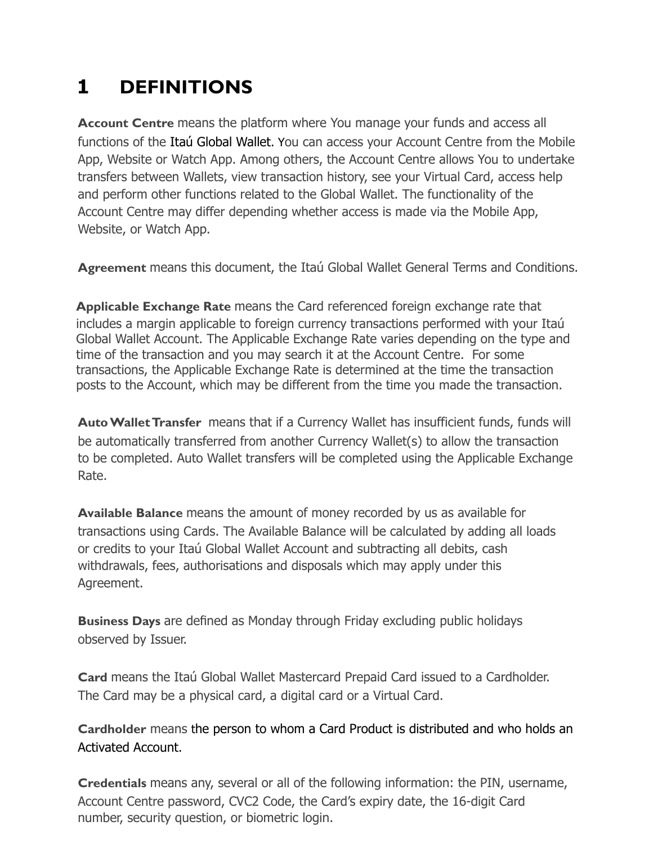# **1 DEFINITIONS**

**Account Centre** means the platform where You manage your funds and access all functions of the Itaú Global Wallet. You can access your Account Centre from the Mobile App, Website or Watch App. Among others, the Account Centre allows You to undertake transfers between Wallets, view transaction history, see your Virtual Card, access help and perform other functions related to the Global Wallet. The functionality of the Account Centre may differ depending whether access is made via the Mobile App, Website, or Watch App.

**Agreement** means this document, the Itaú Global Wallet General Terms and Conditions.

**Applicable Exchange Rate** means the Card referenced foreign exchange rate that includes a margin applicable to foreign currency transactions performed with your Itaú Global Wallet Account. The Applicable Exchange Rate varies depending on the type and time of the transaction and you may search it at the Account Centre. For some transactions, the Applicable Exchange Rate is determined at the time the transaction posts to the Account, which may be different from the time you made the transaction.

**Auto Wallet Transfer** means that if a Currency Wallet has insufficient funds, funds will be automatically transferred from another Currency Wallet(s) to allow the transaction to be completed. Auto Wallet transfers will be completed using the Applicable Exchange Rate.

**Available Balance** means the amount of money recorded by us as available for transactions using Cards. The Available Balance will be calculated by adding all loads or credits to your Itaú Global Wallet Account and subtracting all debits, cash withdrawals, fees, authorisations and disposals which may apply under this Agreement.

**Business Days** are defined as Monday through Friday excluding public holidays observed by Issuer.

**Card** means the Itaú Global Wallet Mastercard Prepaid Card issued to a Cardholder. The Card may be a physical card, a digital card or a Virtual Card.

**Cardholder** means the person to whom a Card Product is distributed and who holds an Activated Account.

**Credentials** means any, several or all of the following information: the PIN, username, Account Centre password, CVC2 Code, the Card's expiry date, the 16-digit Card number, security question, or biometric login.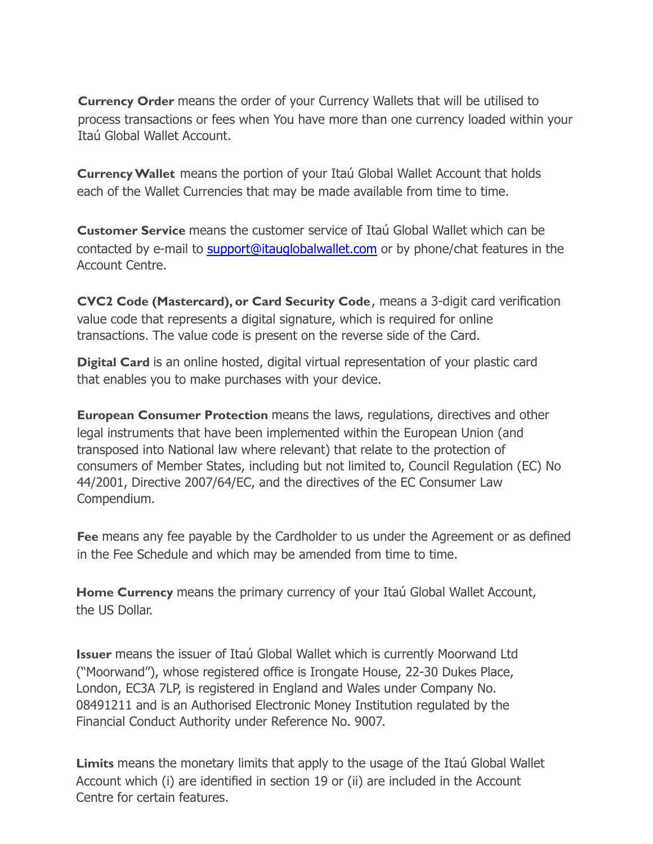**Currency Order** means the order of your Currency Wallets that will be utilised to process transactions or fees when You have more than one currency loaded within your Itaú Global Wallet Account.

**Currency Wallet** means the portion of your Itaú Global Wallet Account that holds each of the Wallet Currencies that may be made available from time to time.

**Customer Service** means the customer service of Itaú Global Wallet which can be contacted by e-mail to [support@itauglobalwallet.com](mailto:support@itauglobalwallet.com) or by phone/chat features in the Account Centre.

**CVC2 Code (Mastercard), or Card Security Code**, means a 3-digit card verification value code that represents a digital signature, which is required for online transactions. The value code is present on the reverse side of the Card.

**Digital Card** is an online hosted, digital virtual representation of your plastic card that enables you to make purchases with your device.

**European Consumer Protection** means the laws, regulations, directives and other legal instruments that have been implemented within the European Union (and transposed into National law where relevant) that relate to the protection of consumers of Member States, including but not limited to, Council Regulation (EC) No 44/2001, Directive 2007/64/EC, and the directives of the EC Consumer Law Compendium.

**Fee** means any fee payable by the Cardholder to us under the Agreement or as defined in the Fee Schedule and which may be amended from time to time.

**Home Currency** means the primary currency of your Itaú Global Wallet Account, the US Dollar.

**Issuer** means the issuer of Itaú Global Wallet which is currently Moorwand Ltd ("Moorwand"), whose registered office is Irongate House, 22-30 Dukes Place, London, EC3A 7LP, is registered in England and Wales under Company No. 08491211 and is an Authorised Electronic Money Institution regulated by the Financial Conduct Authority under Reference No. 9007.

**Limits** means the monetary limits that apply to the usage of the Itaú Global Wallet Account which (i) are identified in section 19 or (ii) are included in the Account Centre for certain features.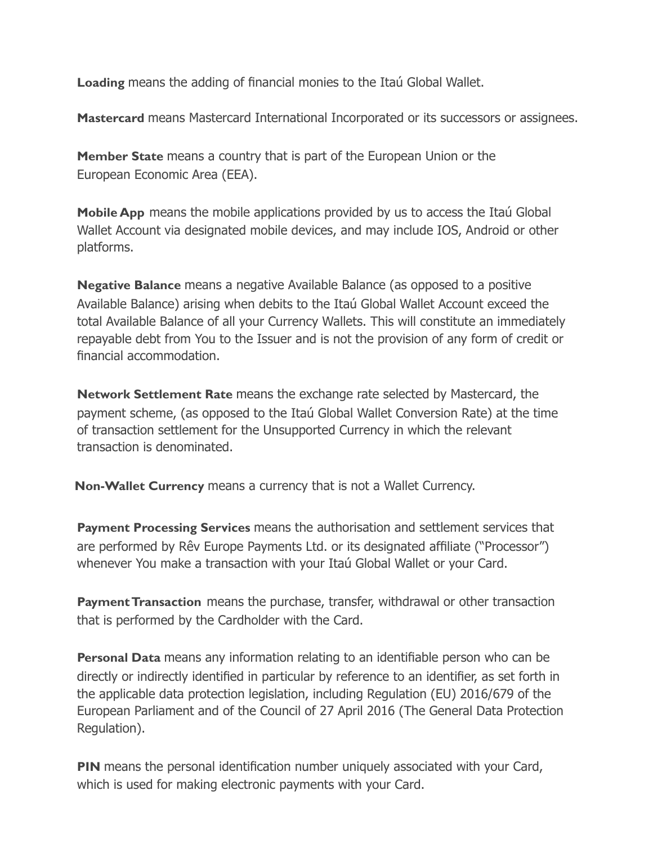**Loading** means the adding of financial monies to the Itaú Global Wallet.

**Mastercard** means Mastercard International Incorporated or its successors or assignees.

**Member State** means a country that is part of the European Union or the European Economic Area (EEA).

**Mobile App** means the mobile applications provided by us to access the Itaú Global Wallet Account via designated mobile devices, and may include IOS, Android or other platforms.

**Negative Balance** means a negative Available Balance (as opposed to a positive Available Balance) arising when debits to the Itaú Global Wallet Account exceed the total Available Balance of all your Currency Wallets. This will constitute an immediately repayable debt from You to the Issuer and is not the provision of any form of credit or financial accommodation.

**Network Settlement Rate** means the exchange rate selected by Mastercard, the payment scheme, (as opposed to the Itaú Global Wallet Conversion Rate) at the time of transaction settlement for the Unsupported Currency in which the relevant transaction is denominated.

**Non-Wallet Currency** means a currency that is not a Wallet Currency.

**Payment Processing Services** means the authorisation and settlement services that are performed by Rêv Europe Payments Ltd. or its designated affiliate ("Processor") whenever You make a transaction with your Itaú Global Wallet or your Card.

**Payment Transaction** means the purchase, transfer, withdrawal or other transaction that is performed by the Cardholder with the Card.

**Personal Data** means any information relating to an identifiable person who can be directly or indirectly identified in particular by reference to an identifier, as set forth in the applicable data protection legislation, including Regulation (EU) 2016/679 of the European Parliament and of the Council of 27 April 2016 (The General Data Protection Regulation).

**PIN** means the personal identification number uniquely associated with your Card, which is used for making electronic payments with your Card.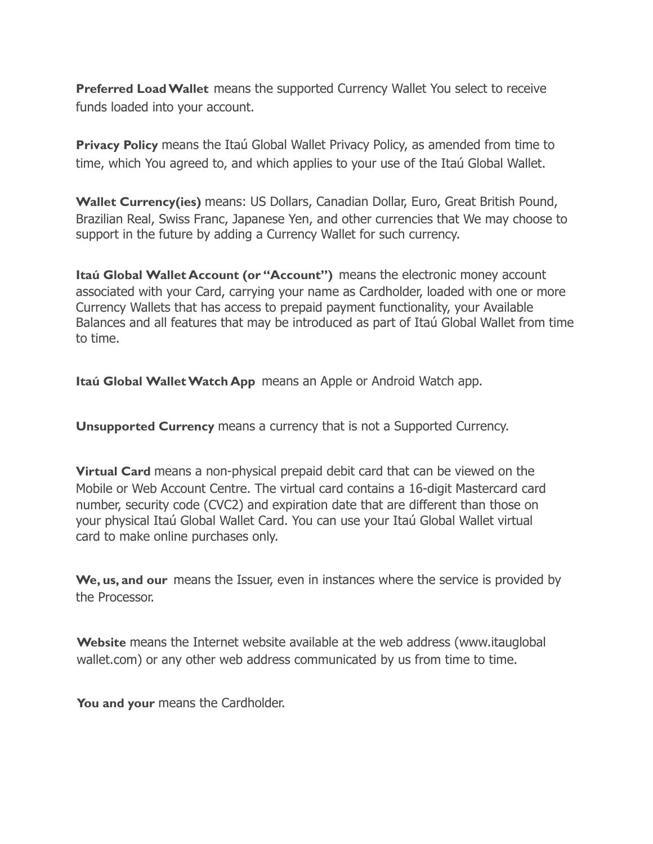**Preferred Load Wallet** means the supported Currency Wallet You select to receive funds loaded into your account.

**Privacy Policy** means the Itaú Global Wallet Privacy Policy, as amended from time to time, which You agreed to, and which applies to your use of the Itaú Global Wallet.

**Wallet Currency(ies)** means: US Dollars, Canadian Dollar, Euro, Great British Pound, Brazilian Real, Swiss Franc, Japanese Yen, and other currencies that We may choose to support in the future by adding a Currency Wallet for such currency.

**Itaú Global Wallet Account (or "Account")** means the electronic money account associated with your Card, carrying your name as Cardholder, loaded with one or more Currency Wallets that has access to prepaid payment functionality, your Available Balances and all features that may be introduced as part of Itaú Global Wallet from time to time.

**Itaú Global Wallet Watch App** means an Apple or Android Watch app.

**Unsupported Currency** means a currency that is not a Supported Currency.

**Virtual Card** means a non-physical prepaid debit card that can be viewed on the Mobile or Web Account Centre. The virtual card contains a 16-digit Mastercard card number, security code (CVC2) and expiration date that are different than those on your physical Itaú Global Wallet Card. You can use your Itaú Global Wallet virtual card to make online purchases only.

**We, us, and our** means the Issuer, even in instances where the service is provided by the Processor.

**Website** means the Internet website available at the web address (www.itauglobal wallet.com) or any other web address communicated by us from time to time.

You and your means the Cardholder.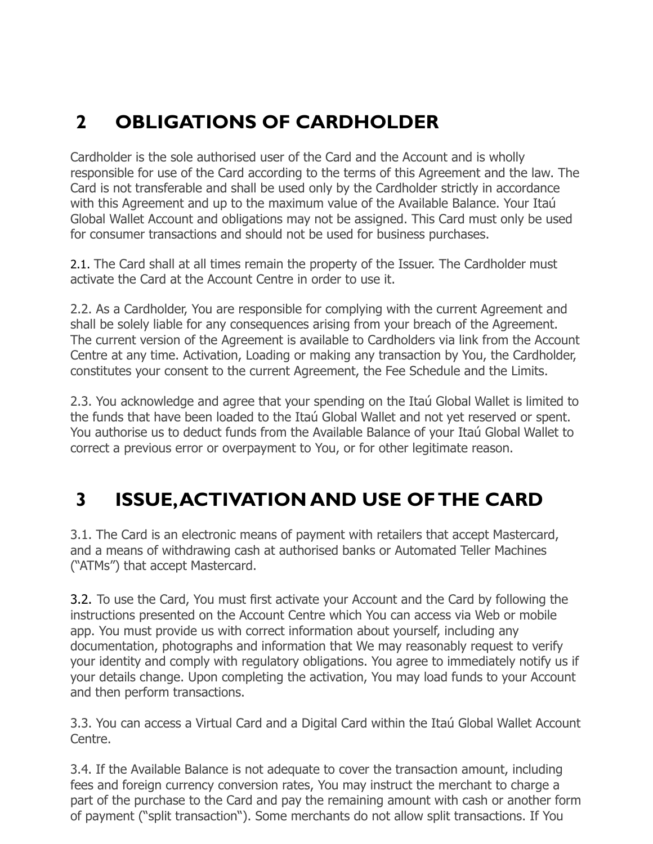# **2 OBLIGATIONS OF CARDHOLDER**

Cardholder is the sole authorised user of the Card and the Account and is wholly responsible for use of the Card according to the terms of this Agreement and the law. The Card is not transferable and shall be used only by the Cardholder strictly in accordance with this Agreement and up to the maximum value of the Available Balance. Your Itaú Global Wallet Account and obligations may not be assigned. This Card must only be used for consumer transactions and should not be used for business purchases.

2.1. The Card shall at all times remain the property of the Issuer. The Cardholder must activate the Card at the Account Centre in order to use it.

2.2. As a Cardholder, You are responsible for complying with the current Agreement and shall be solely liable for any consequences arising from your breach of the Agreement. The current version of the Agreement is available to Cardholders via link from the Account Centre at any time. Activation, Loading or making any transaction by You, the Cardholder, constitutes your consent to the current Agreement, the Fee Schedule and the Limits.

2.3. You acknowledge and agree that your spending on the Itaú Global Wallet is limited to the funds that have been loaded to the Itaú Global Wallet and not yet reserved or spent. You authorise us to deduct funds from the Available Balance of your Itaú Global Wallet to correct a previous error or overpayment to You, or for other legitimate reason.

## **3 ISSUE,ACTIVATION AND USE OF THE CARD**

3.1. The Card is an electronic means of payment with retailers that accept Mastercard, and a means of withdrawing cash at authorised banks or Automated Teller Machines ("ATMs") that accept Mastercard.

3.2. To use the Card, You must first activate your Account and the Card by following the instructions presented on the Account Centre which You can access via Web or mobile app. You must provide us with correct information about yourself, including any documentation, photographs and information that We may reasonably request to verify your identity and comply with regulatory obligations. You agree to immediately notify us if your details change. Upon completing the activation, You may load funds to your Account and then perform transactions.

3.3. You can access a Virtual Card and a Digital Card within the Itaú Global Wallet Account Centre.

3.4. If the Available Balance is not adequate to cover the transaction amount, including fees and foreign currency conversion rates, You may instruct the merchant to charge a part of the purchase to the Card and pay the remaining amount with cash or another form of payment ("split transaction"). Some merchants do not allow split transactions. If You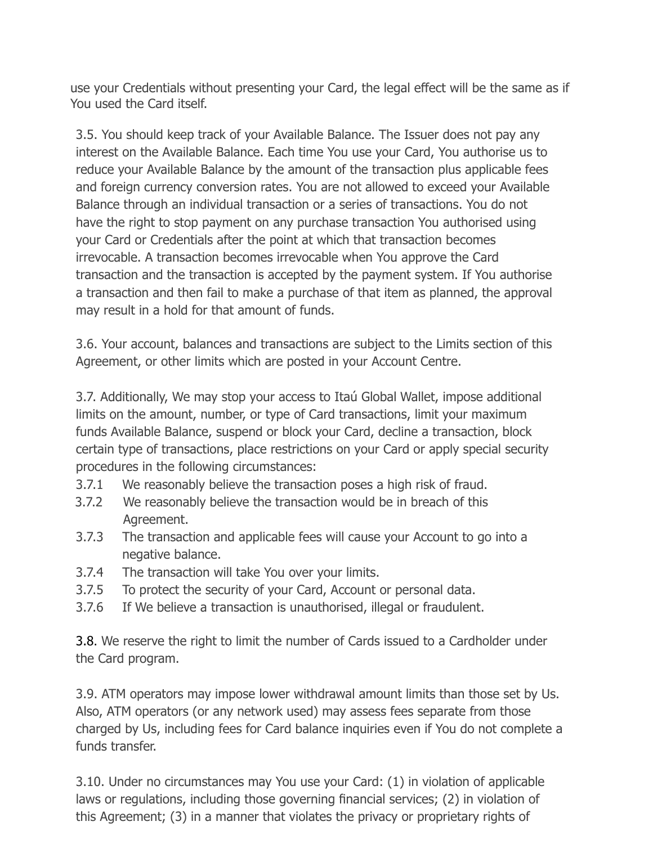use your Credentials without presenting your Card, the legal effect will be the same as if You used the Card itself.

3.5. You should keep track of your Available Balance. The Issuer does not pay any interest on the Available Balance. Each time You use your Card, You authorise us to reduce your Available Balance by the amount of the transaction plus applicable fees and foreign currency conversion rates. You are not allowed to exceed your Available Balance through an individual transaction or a series of transactions. You do not have the right to stop payment on any purchase transaction You authorised using your Card or Credentials after the point at which that transaction becomes irrevocable. A transaction becomes irrevocable when You approve the Card transaction and the transaction is accepted by the payment system. If You authorise a transaction and then fail to make a purchase of that item as planned, the approval may result in a hold for that amount of funds.

3.6. Your account, balances and transactions are subject to the Limits section of this Agreement, or other limits which are posted in your Account Centre.

3.7. Additionally, We may stop your access to Itaú Global Wallet, impose additional limits on the amount, number, or type of Card transactions, limit your maximum funds Available Balance, suspend or block your Card, decline a transaction, block certain type of transactions, place restrictions on your Card or apply special security procedures in the following circumstances:

- 3.7.1 We reasonably believe the transaction poses a high risk of fraud.
- 3.7.2 We reasonably believe the transaction would be in breach of this Agreement.
- 3.7.3 The transaction and applicable fees will cause your Account to go into a negative balance.
- 3.7.4 The transaction will take You over your limits.
- 3.7.5 To protect the security of your Card, Account or personal data.
- 3.7.6 If We believe a transaction is unauthorised, illegal or fraudulent.

3.8. We reserve the right to limit the number of Cards issued to a Cardholder under the Card program.

3.9. ATM operators may impose lower withdrawal amount limits than those set by Us. Also, ATM operators (or any network used) may assess fees separate from those charged by Us, including fees for Card balance inquiries even if You do not complete a funds transfer.

3.10. Under no circumstances may You use your Card: (1) in violation of applicable laws or regulations, including those governing financial services; (2) in violation of this Agreement; (3) in a manner that violates the privacy or proprietary rights of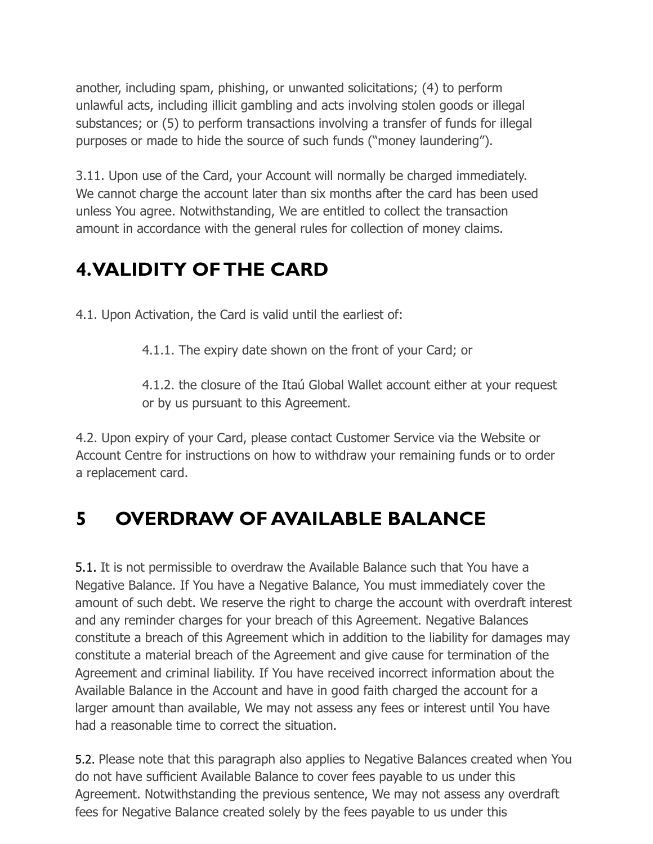another, including spam, phishing, or unwanted solicitations; (4) to perform unlawful acts, including illicit gambling and acts involving stolen goods or illegal substances; or (5) to perform transactions involving a transfer of funds for illegal purposes or made to hide the source of such funds ("money laundering").

3.11. Upon use of the Card, your Account will normally be charged immediately. We cannot charge the account later than six months after the card has been used unless You agree. Notwithstanding, We are entitled to collect the transaction amount in accordance with the general rules for collection of money claims.

#### **4.VALIDITY OF THE CARD**

4.1. Upon Activation, the Card is valid until the earliest of:

4.1.1. The expiry date shown on the front of your Card; or

4.1.2. the closure of the Itaú Global Wallet account either at your request or by us pursuant to this Agreement.

4.2. Upon expiry of your Card, please contact Customer Service via the Website or Account Centre for instructions on how to withdraw your remaining funds or to order a replacement card.

#### **5 OVERDRAW OF AVAILABLE BALANCE**

5.1. It is not permissible to overdraw the Available Balance such that You have a Negative Balance. If You have a Negative Balance, You must immediately cover the amount of such debt. We reserve the right to charge the account with overdraft interest and any reminder charges for your breach of this Agreement. Negative Balances constitute a breach of this Agreement which in addition to the liability for damages may constitute a material breach of the Agreement and give cause for termination of the Agreement and criminal liability. If You have received incorrect information about the Available Balance in the Account and have in good faith charged the account for a larger amount than available, We may not assess any fees or interest until You have had a reasonable time to correct the situation.

5.2. Please note that this paragraph also applies to Negative Balances created when You do not have sufficient Available Balance to cover fees payable to us under this Agreement. Notwithstanding the previous sentence, We may not assess any overdraft fees for Negative Balance created solely by the fees payable to us under this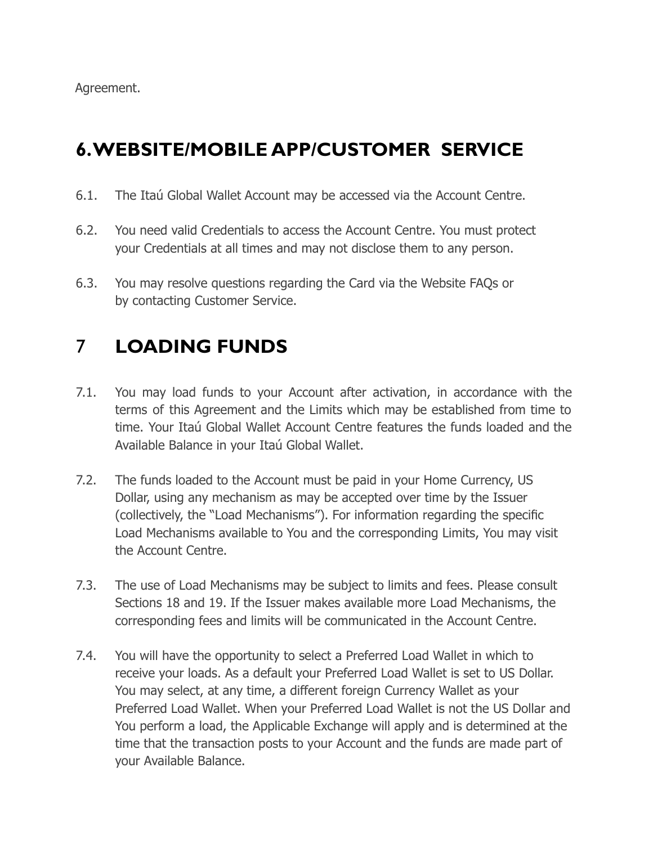Agreement.

## **6.WEBSITE/MOBILE APP/CUSTOMER SERVICE**

- 6.1. The Itaú Global Wallet Account may be accessed via the Account Centre.
- 6.2. You need valid Credentials to access the Account Centre. You must protect your Credentials at all times and may not disclose them to any person.
- 6.3. You may resolve questions regarding the Card via the Website FAQs or by contacting Customer Service.

# 7 **LOADING FUNDS**

- 7.1. You may load funds to your Account after activation, in accordance with the terms of this Agreement and the Limits which may be established from time to time. Your Itaú Global Wallet Account Centre features the funds loaded and the Available Balance in your Itaú Global Wallet.
- 7.2. The funds loaded to the Account must be paid in your Home Currency, US Dollar, using any mechanism as may be accepted over time by the Issuer (collectively, the "Load Mechanisms"). For information regarding the specific Load Mechanisms available to You and the corresponding Limits, You may visit the Account Centre.
- 7.3. The use of Load Mechanisms may be subject to limits and fees. Please consult Sections 18 and 19. If the Issuer makes available more Load Mechanisms, the corresponding fees and limits will be communicated in the Account Centre.
- 7.4. You will have the opportunity to select a Preferred Load Wallet in which to receive your loads. As a default your Preferred Load Wallet is set to US Dollar. You may select, at any time, a different foreign Currency Wallet as your Preferred Load Wallet. When your Preferred Load Wallet is not the US Dollar and You perform a load, the Applicable Exchange will apply and is determined at the time that the transaction posts to your Account and the funds are made part of your Available Balance.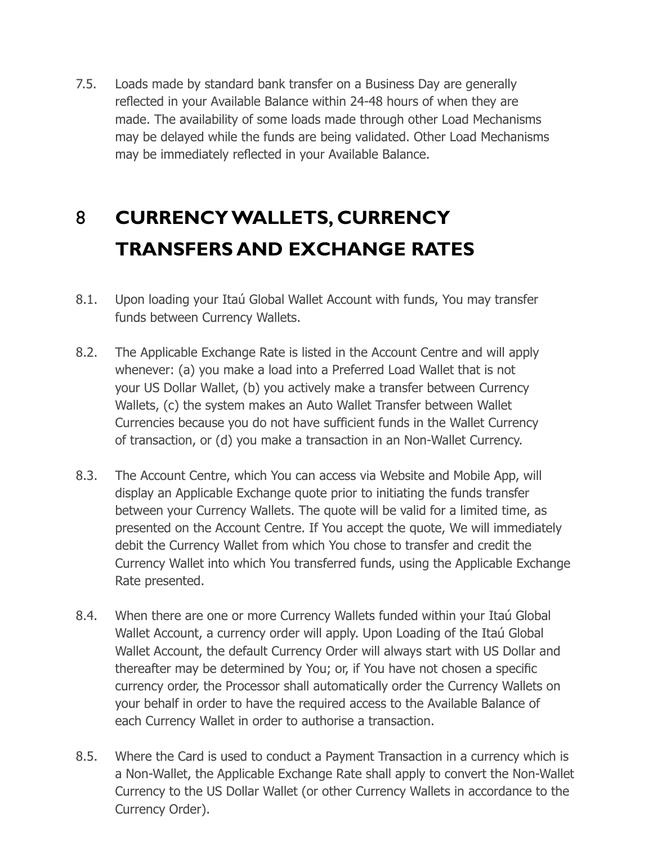7.5. Loads made by standard bank transfer on a Business Day are generally reflected in your Available Balance within 24-48 hours of when they are made. The availability of some loads made through other Load Mechanisms may be delayed while the funds are being validated. Other Load Mechanisms may be immediately reflected in your Available Balance.

# 8 **CURRENCY WALLETS, CURRENCY TRANSFERS AND EXCHANGE RATES**

- 8.1. Upon loading your Itaú Global Wallet Account with funds, You may transfer funds between Currency Wallets.
- 8.2. The Applicable Exchange Rate is listed in the Account Centre and will apply whenever: (a) you make a load into a Preferred Load Wallet that is not your US Dollar Wallet, (b) you actively make a transfer between Currency Wallets, (c) the system makes an Auto Wallet Transfer between Wallet Currencies because you do not have sufficient funds in the Wallet Currency of transaction, or (d) you make a transaction in an Non-Wallet Currency.
- 8.3. The Account Centre, which You can access via Website and Mobile App, will display an Applicable Exchange quote prior to initiating the funds transfer between your Currency Wallets. The quote will be valid for a limited time, as presented on the Account Centre. If You accept the quote, We will immediately debit the Currency Wallet from which You chose to transfer and credit the Currency Wallet into which You transferred funds, using the Applicable Exchange Rate presented.
- 8.4. When there are one or more Currency Wallets funded within your Itaú Global Wallet Account, a currency order will apply. Upon Loading of the Itaú Global Wallet Account, the default Currency Order will always start with US Dollar and thereafter may be determined by You; or, if You have not chosen a specific currency order, the Processor shall automatically order the Currency Wallets on your behalf in order to have the required access to the Available Balance of each Currency Wallet in order to authorise a transaction.
- 8.5. Where the Card is used to conduct a Payment Transaction in a currency which is a Non-Wallet, the Applicable Exchange Rate shall apply to convert the Non-Wallet Currency to the US Dollar Wallet (or other Currency Wallets in accordance to the Currency Order).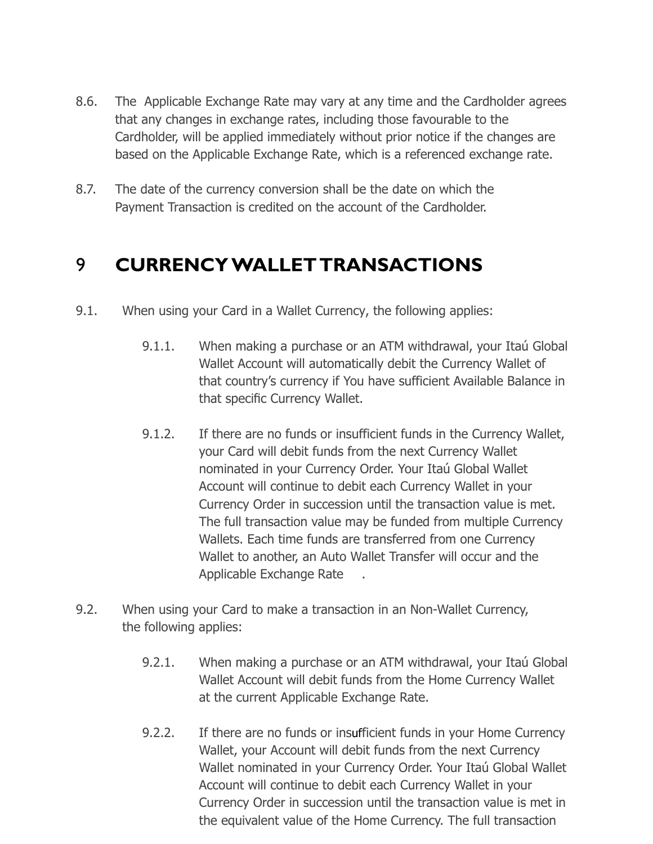- 8.6. The Applicable Exchange Rate may vary at any time and the Cardholder agrees that any changes in exchange rates, including those favourable to the Cardholder, will be applied immediately without prior notice if the changes are based on the Applicable Exchange Rate, which is a referenced exchange rate.
- 8.7. The date of the currency conversion shall be the date on which the Payment Transaction is credited on the account of the Cardholder.

#### 9 **CURRENCY WALLET TRANSACTIONS**

- 9.1. When using your Card in a Wallet Currency, the following applies:
	- 9.1.1. When making a purchase or an ATM withdrawal, your Itaú Global Wallet Account will automatically debit the Currency Wallet of that country's currency if You have sufficient Available Balance in that specific Currency Wallet.
	- 9.1.2. If there are no funds or insufficient funds in the Currency Wallet, your Card will debit funds from the next Currency Wallet nominated in your Currency Order. Your Itaú Global Wallet Account will continue to debit each Currency Wallet in your Currency Order in succession until the transaction value is met. The full transaction value may be funded from multiple Currency Wallets. Each time funds are transferred from one Currency Wallet to another, an Auto Wallet Transfer will occur and the Applicable Exchange Rate .
- 9.2. When using your Card to make a transaction in an Non-Wallet Currency, the following applies:
	- 9.2.1. When making a purchase or an ATM withdrawal, your Itaú Global Wallet Account will debit funds from the Home Currency Wallet at the current Applicable Exchange Rate.
	- 9.2.2. If there are no funds or insufficient funds in your Home Currency Wallet, your Account will debit funds from the next Currency Wallet nominated in your Currency Order. Your Itaú Global Wallet Account will continue to debit each Currency Wallet in your Currency Order in succession until the transaction value is met in the equivalent value of the Home Currency. The full transaction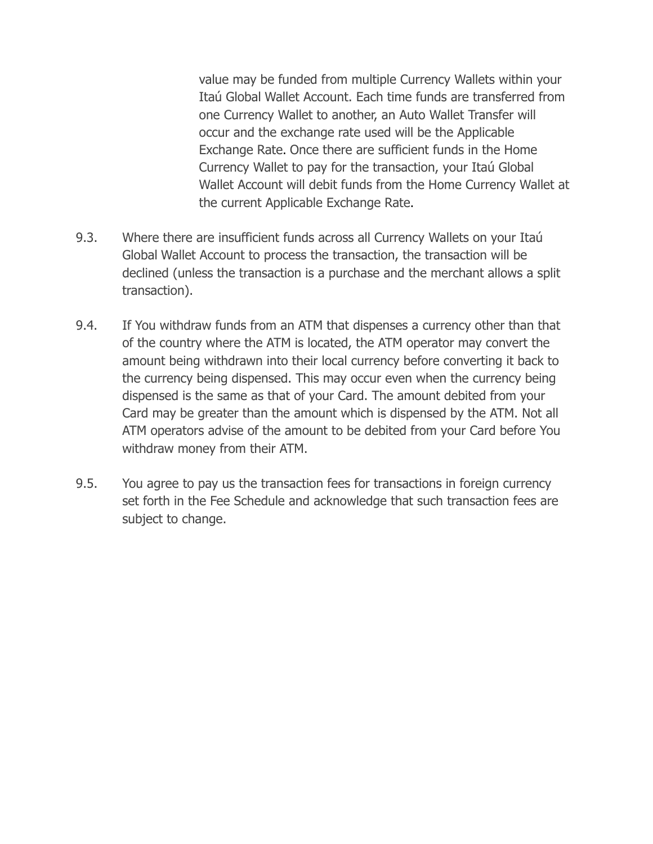value may be funded from multiple Currency Wallets within your Itaú Global Wallet Account. Each time funds are transferred from one Currency Wallet to another, an Auto Wallet Transfer will occur and the exchange rate used will be the Applicable Exchange Rate. Once there are sufficient funds in the Home Currency Wallet to pay for the transaction, your Itaú Global Wallet Account will debit funds from the Home Currency Wallet at the current Applicable Exchange Rate.

- 9.3. Where there are insufficient funds across all Currency Wallets on your Itaú Global Wallet Account to process the transaction, the transaction will be declined (unless the transaction is a purchase and the merchant allows a split transaction).
- 9.4. If You withdraw funds from an ATM that dispenses a currency other than that of the country where the ATM is located, the ATM operator may convert the amount being withdrawn into their local currency before converting it back to the currency being dispensed. This may occur even when the currency being dispensed is the same as that of your Card. The amount debited from your Card may be greater than the amount which is dispensed by the ATM. Not all ATM operators advise of the amount to be debited from your Card before You withdraw money from their ATM.
- 9.5. You agree to pay us the transaction fees for transactions in foreign currency set forth in the Fee Schedule and acknowledge that such transaction fees are subject to change.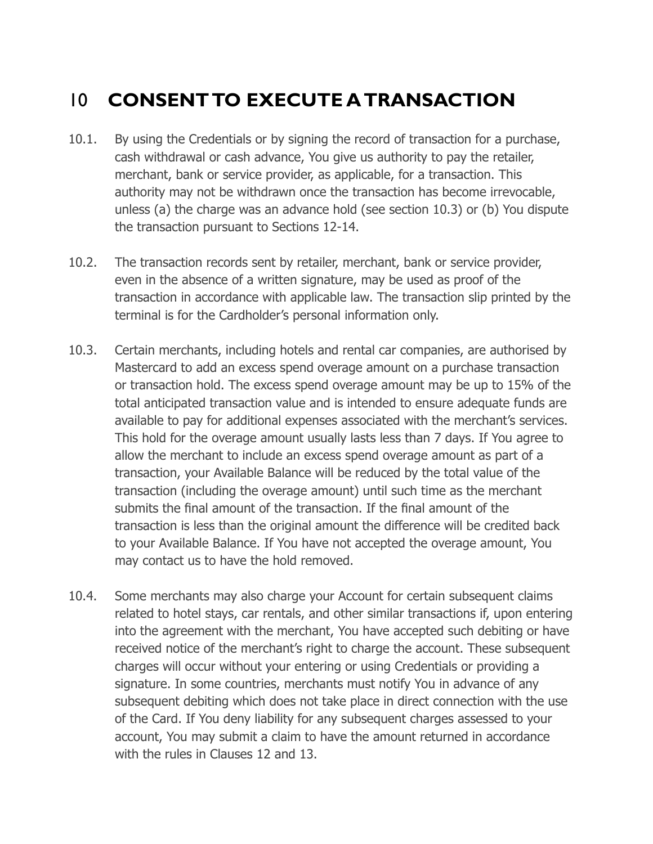# 10 **CONSENT TO EXECUTE A TRANSACTION**

- 10.1. By using the Credentials or by signing the record of transaction for a purchase, cash withdrawal or cash advance, You give us authority to pay the retailer, merchant, bank or service provider, as applicable, for a transaction. This authority may not be withdrawn once the transaction has become irrevocable, unless (a) the charge was an advance hold (see section 10.3) or (b) You dispute the transaction pursuant to Sections 12-14.
- 10.2. The transaction records sent by retailer, merchant, bank or service provider, even in the absence of a written signature, may be used as proof of the transaction in accordance with applicable law. The transaction slip printed by the terminal is for the Cardholder's personal information only.
- 10.3. Certain merchants, including hotels and rental car companies, are authorised by Mastercard to add an excess spend overage amount on a purchase transaction or transaction hold. The excess spend overage amount may be up to 15% of the total anticipated transaction value and is intended to ensure adequate funds are available to pay for additional expenses associated with the merchant's services. This hold for the overage amount usually lasts less than 7 days. If You agree to allow the merchant to include an excess spend overage amount as part of a transaction, your Available Balance will be reduced by the total value of the transaction (including the overage amount) until such time as the merchant submits the final amount of the transaction. If the final amount of the transaction is less than the original amount the difference will be credited back to your Available Balance. If You have not accepted the overage amount, You may contact us to have the hold removed.
- 10.4. Some merchants may also charge your Account for certain subsequent claims related to hotel stays, car rentals, and other similar transactions if, upon entering into the agreement with the merchant, You have accepted such debiting or have received notice of the merchant's right to charge the account. These subsequent charges will occur without your entering or using Credentials or providing a signature. In some countries, merchants must notify You in advance of any subsequent debiting which does not take place in direct connection with the use of the Card. If You deny liability for any subsequent charges assessed to your account, You may submit a claim to have the amount returned in accordance with the rules in Clauses 12 and 13.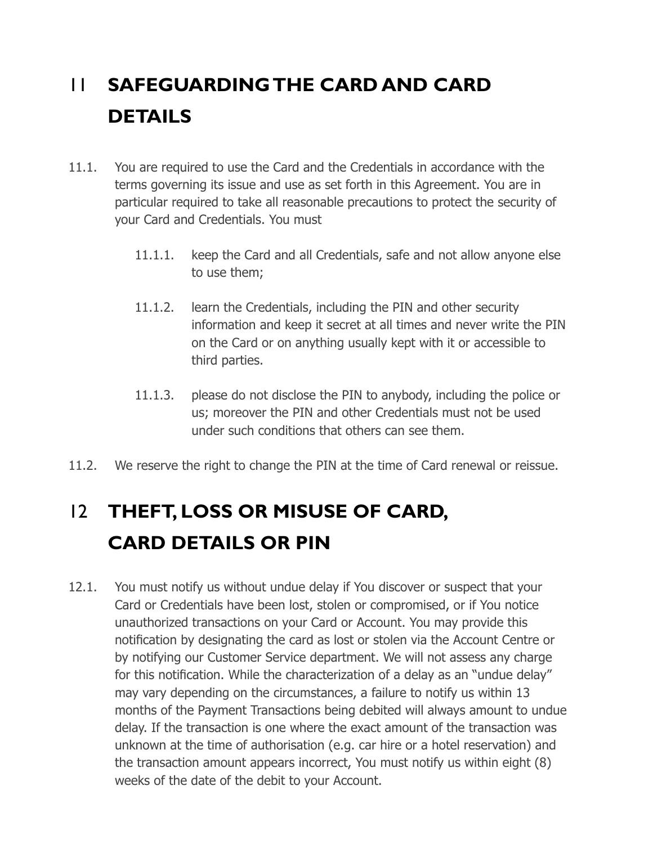# 11 **SAFEGUARDING THE CARD AND CARD DETAILS**

- 11.1. You are required to use the Card and the Credentials in accordance with the terms governing its issue and use as set forth in this Agreement. You are in particular required to take all reasonable precautions to protect the security of your Card and Credentials. You must
	- 11.1.1. keep the Card and all Credentials, safe and not allow anyone else to use them;
	- 11.1.2. learn the Credentials, including the PIN and other security information and keep it secret at all times and never write the PIN on the Card or on anything usually kept with it or accessible to third parties.
	- 11.1.3. please do not disclose the PIN to anybody, including the police or us; moreover the PIN and other Credentials must not be used under such conditions that others can see them.
- 11.2. We reserve the right to change the PIN at the time of Card renewal or reissue.

# 12 **THEFT, LOSS OR MISUSE OF CARD, CARD DETAILS OR PIN**

12.1. You must notify us without undue delay if You discover or suspect that your Card or Credentials have been lost, stolen or compromised, or if You notice unauthorized transactions on your Card or Account. You may provide this notification by designating the card as lost or stolen via the Account Centre or by notifying our Customer Service department. We will not assess any charge for this notification. While the characterization of a delay as an "undue delay" may vary depending on the circumstances, a failure to notify us within 13 months of the Payment Transactions being debited will always amount to undue delay. If the transaction is one where the exact amount of the transaction was unknown at the time of authorisation (e.g. car hire or a hotel reservation) and the transaction amount appears incorrect, You must notify us within eight (8) weeks of the date of the debit to your Account.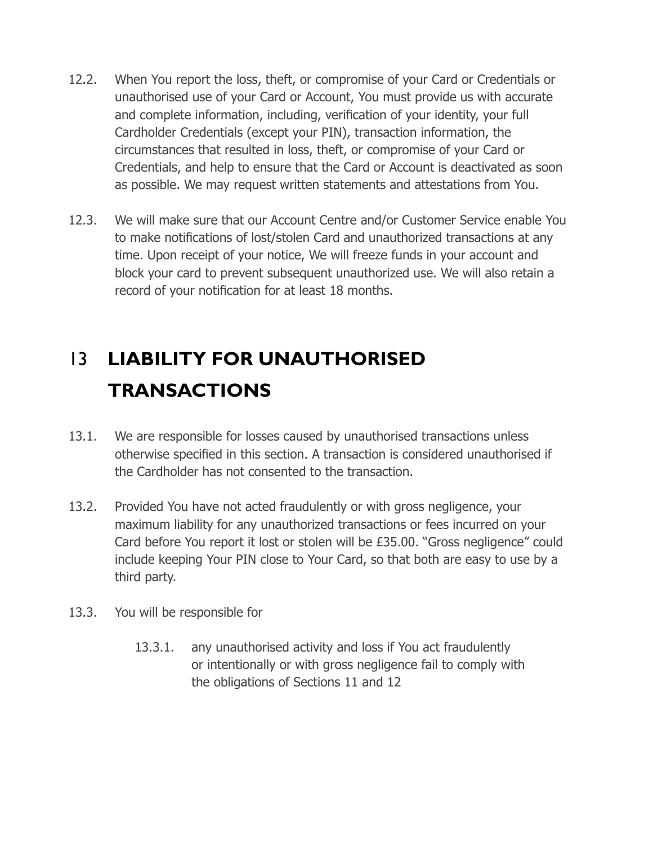- 12.2. When You report the loss, theft, or compromise of your Card or Credentials or unauthorised use of your Card or Account, You must provide us with accurate and complete information, including, verification of your identity, your full Cardholder Credentials (except your PIN), transaction information, the circumstances that resulted in loss, theft, or compromise of your Card or Credentials, and help to ensure that the Card or Account is deactivated as soon as possible. We may request written statements and attestations from You.
- 12.3. We will make sure that our Account Centre and/or Customer Service enable You to make notifications of lost/stolen Card and unauthorized transactions at any time. Upon receipt of your notice, We will freeze funds in your account and block your card to prevent subsequent unauthorized use. We will also retain a record of your notification for at least 18 months.

# 13 **LIABILITY FOR UNAUTHORISED TRANSACTIONS**

- 13.1. We are responsible for losses caused by unauthorised transactions unless otherwise specified in this section. A transaction is considered unauthorised if the Cardholder has not consented to the transaction.
- 13.2. Provided You have not acted fraudulently or with gross negligence, your maximum liability for any unauthorized transactions or fees incurred on your Card before You report it lost or stolen will be £35.00. "Gross negligence" could include keeping Your PIN close to Your Card, so that both are easy to use by a third party.
- 13.3. You will be responsible for
	- 13.3.1. any unauthorised activity and loss if You act fraudulently or intentionally or with gross negligence fail to comply with the obligations of Sections 11 and 12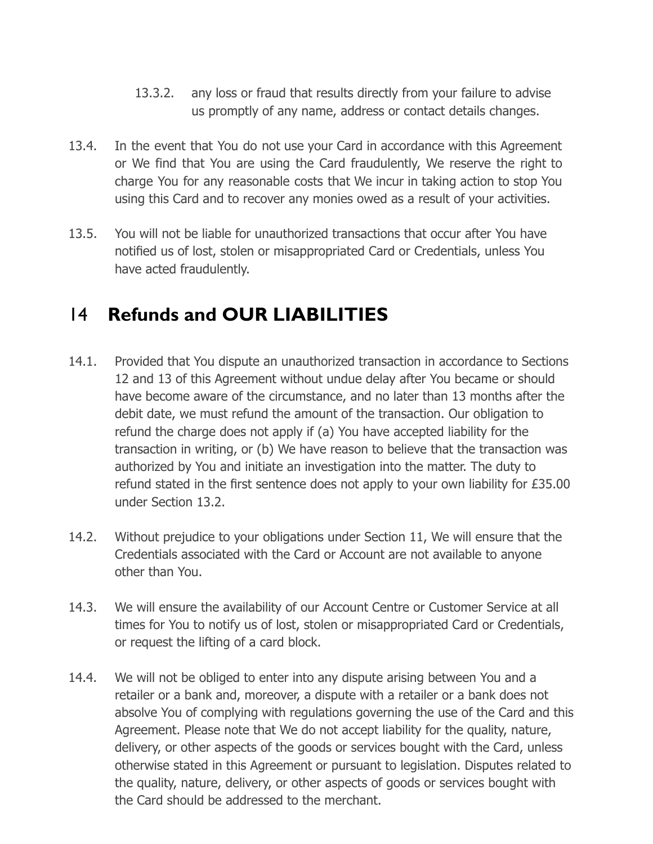- 13.3.2. any loss or fraud that results directly from your failure to advise us promptly of any name, address or contact details changes.
- 13.4. In the event that You do not use your Card in accordance with this Agreement or We find that You are using the Card fraudulently, We reserve the right to charge You for any reasonable costs that We incur in taking action to stop You using this Card and to recover any monies owed as a result of your activities.
- 13.5. You will not be liable for unauthorized transactions that occur after You have notified us of lost, stolen or misappropriated Card or Credentials, unless You have acted fraudulently.

#### 14 **Refunds and OUR LIABILITIES**

- 14.1. Provided that You dispute an unauthorized transaction in accordance to Sections 12 and 13 of this Agreement without undue delay after You became or should have become aware of the circumstance, and no later than 13 months after the debit date, we must refund the amount of the transaction. Our obligation to refund the charge does not apply if (a) You have accepted liability for the transaction in writing, or (b) We have reason to believe that the transaction was authorized by You and initiate an investigation into the matter. The duty to refund stated in the first sentence does not apply to your own liability for £35.00 under Section 13.2.
- 14.2. Without prejudice to your obligations under Section 11, We will ensure that the Credentials associated with the Card or Account are not available to anyone other than You.
- 14.3. We will ensure the availability of our Account Centre or Customer Service at all times for You to notify us of lost, stolen or misappropriated Card or Credentials, or request the lifting of a card block.
- 14.4. We will not be obliged to enter into any dispute arising between You and a retailer or a bank and, moreover, a dispute with a retailer or a bank does not absolve You of complying with regulations governing the use of the Card and this Agreement. Please note that We do not accept liability for the quality, nature, delivery, or other aspects of the goods or services bought with the Card, unless otherwise stated in this Agreement or pursuant to legislation. Disputes related to the quality, nature, delivery, or other aspects of goods or services bought with the Card should be addressed to the merchant.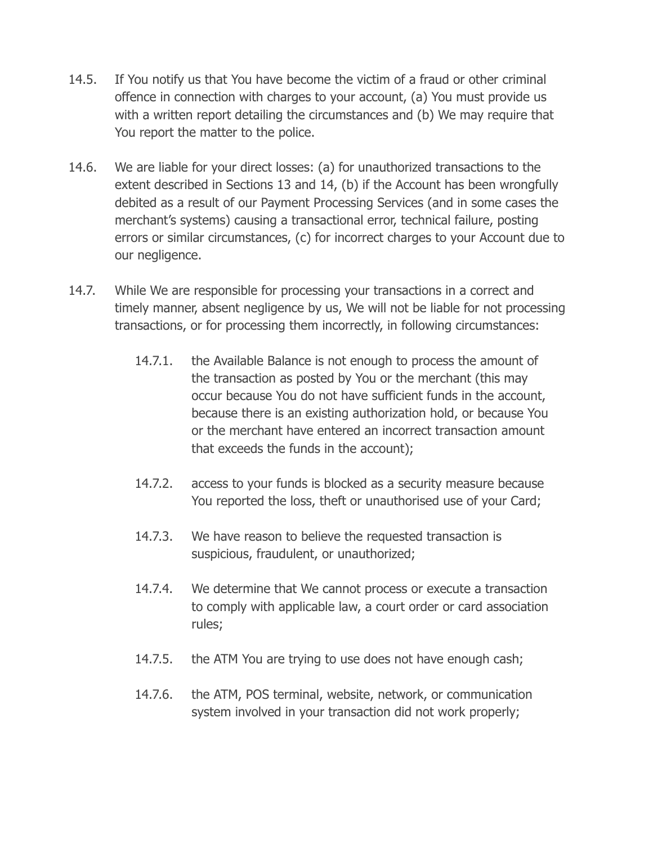- 14.5. If You notify us that You have become the victim of a fraud or other criminal offence in connection with charges to your account, (a) You must provide us with a written report detailing the circumstances and (b) We may require that You report the matter to the police.
- 14.6. We are liable for your direct losses: (a) for unauthorized transactions to the extent described in Sections 13 and 14, (b) if the Account has been wrongfully debited as a result of our Payment Processing Services (and in some cases the merchant's systems) causing a transactional error, technical failure, posting errors or similar circumstances, (c) for incorrect charges to your Account due to our negligence.
- 14.7. While We are responsible for processing your transactions in a correct and timely manner, absent negligence by us, We will not be liable for not processing transactions, or for processing them incorrectly, in following circumstances:
	- 14.7.1. the Available Balance is not enough to process the amount of the transaction as posted by You or the merchant (this may occur because You do not have sufficient funds in the account, because there is an existing authorization hold, or because You or the merchant have entered an incorrect transaction amount that exceeds the funds in the account);
	- 14.7.2. access to your funds is blocked as a security measure because You reported the loss, theft or unauthorised use of your Card;
	- 14.7.3. We have reason to believe the requested transaction is suspicious, fraudulent, or unauthorized;
	- 14.7.4. We determine that We cannot process or execute a transaction to comply with applicable law, a court order or card association rules;
	- 14.7.5. the ATM You are trying to use does not have enough cash;
	- 14.7.6. the ATM, POS terminal, website, network, or communication system involved in your transaction did not work properly;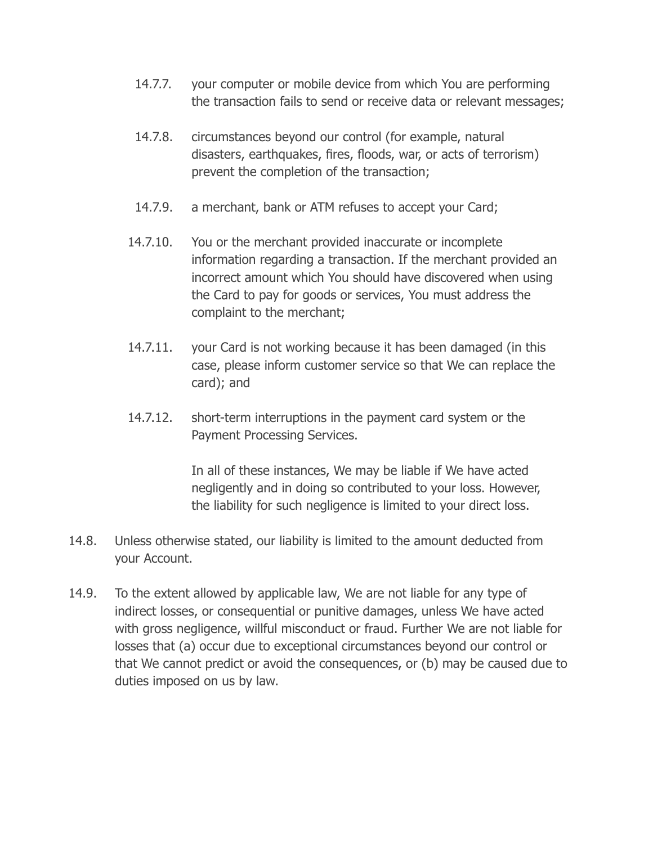- 14.7.7. your computer or mobile device from which You are performing the transaction fails to send or receive data or relevant messages;
- 14.7.8. circumstances beyond our control (for example, natural disasters, earthquakes, fires, floods, war, or acts of terrorism) prevent the completion of the transaction;
- 14.7.9. a merchant, bank or ATM refuses to accept your Card;
- 14.7.10. You or the merchant provided inaccurate or incomplete information regarding a transaction. If the merchant provided an incorrect amount which You should have discovered when using the Card to pay for goods or services, You must address the complaint to the merchant;
- 14.7.11. your Card is not working because it has been damaged (in this case, please inform customer service so that We can replace the card); and
- 14.7.12. short-term interruptions in the payment card system or the Payment Processing Services.

In all of these instances, We may be liable if We have acted negligently and in doing so contributed to your loss. However, the liability for such negligence is limited to your direct loss.

- 14.8. Unless otherwise stated, our liability is limited to the amount deducted from your Account.
- 14.9. To the extent allowed by applicable law, We are not liable for any type of indirect losses, or consequential or punitive damages, unless We have acted with gross negligence, willful misconduct or fraud. Further We are not liable for losses that (a) occur due to exceptional circumstances beyond our control or that We cannot predict or avoid the consequences, or (b) may be caused due to duties imposed on us by law.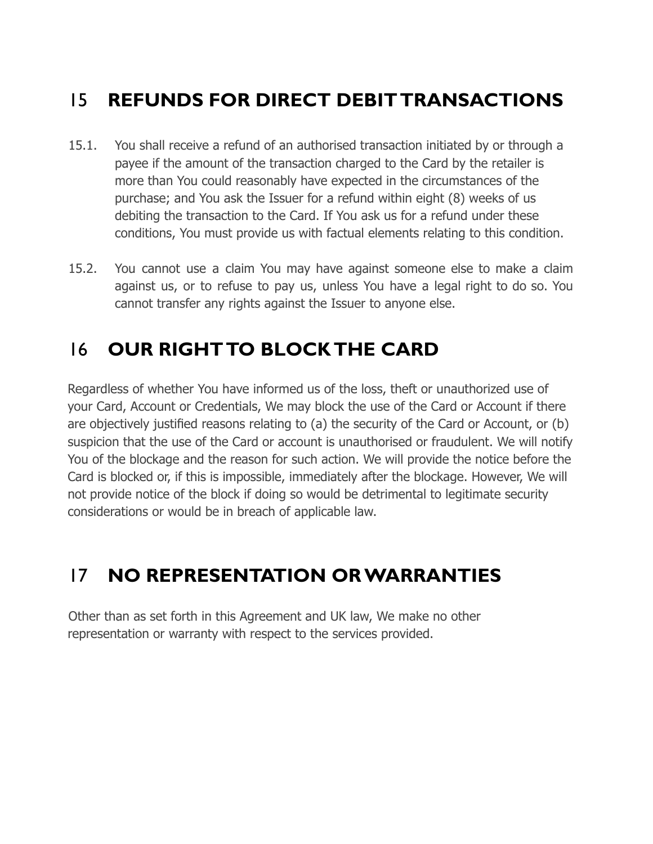# 15 **REFUNDS FOR DIRECT DEBIT TRANSACTIONS**

- 15.1. You shall receive a refund of an authorised transaction initiated by or through a payee if the amount of the transaction charged to the Card by the retailer is more than You could reasonably have expected in the circumstances of the purchase; and You ask the Issuer for a refund within eight (8) weeks of us debiting the transaction to the Card. If You ask us for a refund under these conditions, You must provide us with factual elements relating to this condition.
- 15.2. You cannot use a claim You may have against someone else to make a claim against us, or to refuse to pay us, unless You have a legal right to do so. You cannot transfer any rights against the Issuer to anyone else.

# 16 **OUR RIGHT TO BLOCK THE CARD**

Regardless of whether You have informed us of the loss, theft or unauthorized use of your Card, Account or Credentials, We may block the use of the Card or Account if there are objectively justified reasons relating to (a) the security of the Card or Account, or (b) suspicion that the use of the Card or account is unauthorised or fraudulent. We will notify You of the blockage and the reason for such action. We will provide the notice before the Card is blocked or, if this is impossible, immediately after the blockage. However, We will not provide notice of the block if doing so would be detrimental to legitimate security considerations or would be in breach of applicable law.

# 17 **NO REPRESENTATION OR WARRANTIES**

Other than as set forth in this Agreement and UK law, We make no other representation or warranty with respect to the services provided.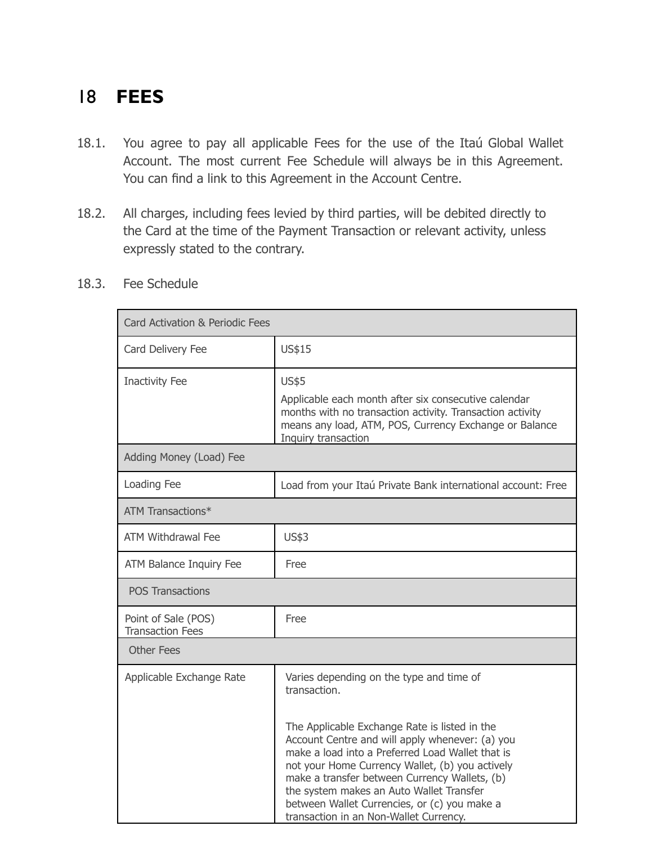#### 18 **FEES**

- 18.1. You agree to pay all applicable Fees for the use of the Itaú Global Wallet Account. The most current Fee Schedule will always be in this Agreement. You can find a link to this Agreement in the Account Centre.
- 18.2. All charges, including fees levied by third parties, will be debited directly to the Card at the time of the Payment Transaction or relevant activity, unless expressly stated to the contrary.
- 18.3. Fee Schedule

| Card Activation & Periodic Fees                |                                                                                                                                                                                                                                                                                                                                                                                                                                                            |  |  |  |
|------------------------------------------------|------------------------------------------------------------------------------------------------------------------------------------------------------------------------------------------------------------------------------------------------------------------------------------------------------------------------------------------------------------------------------------------------------------------------------------------------------------|--|--|--|
| Card Delivery Fee                              | US\$15                                                                                                                                                                                                                                                                                                                                                                                                                                                     |  |  |  |
| <b>Inactivity Fee</b>                          | <b>US\$5</b><br>Applicable each month after six consecutive calendar<br>months with no transaction activity. Transaction activity<br>means any load, ATM, POS, Currency Exchange or Balance<br>Inquiry transaction                                                                                                                                                                                                                                         |  |  |  |
| Adding Money (Load) Fee                        |                                                                                                                                                                                                                                                                                                                                                                                                                                                            |  |  |  |
| Loading Fee                                    | Load from your Itaú Private Bank international account: Free                                                                                                                                                                                                                                                                                                                                                                                               |  |  |  |
| <b>ATM Transactions*</b>                       |                                                                                                                                                                                                                                                                                                                                                                                                                                                            |  |  |  |
| <b>ATM Withdrawal Fee</b>                      | <b>US\$3</b>                                                                                                                                                                                                                                                                                                                                                                                                                                               |  |  |  |
| ATM Balance Inquiry Fee                        | Free                                                                                                                                                                                                                                                                                                                                                                                                                                                       |  |  |  |
| <b>POS Transactions</b>                        |                                                                                                                                                                                                                                                                                                                                                                                                                                                            |  |  |  |
| Point of Sale (POS)<br><b>Transaction Fees</b> | Free                                                                                                                                                                                                                                                                                                                                                                                                                                                       |  |  |  |
| <b>Other Fees</b>                              |                                                                                                                                                                                                                                                                                                                                                                                                                                                            |  |  |  |
| Applicable Exchange Rate                       | Varies depending on the type and time of<br>transaction.<br>The Applicable Exchange Rate is listed in the<br>Account Centre and will apply whenever: (a) you<br>make a load into a Preferred Load Wallet that is<br>not your Home Currency Wallet, (b) you actively<br>make a transfer between Currency Wallets, (b)<br>the system makes an Auto Wallet Transfer<br>between Wallet Currencies, or (c) you make a<br>transaction in an Non-Wallet Currency. |  |  |  |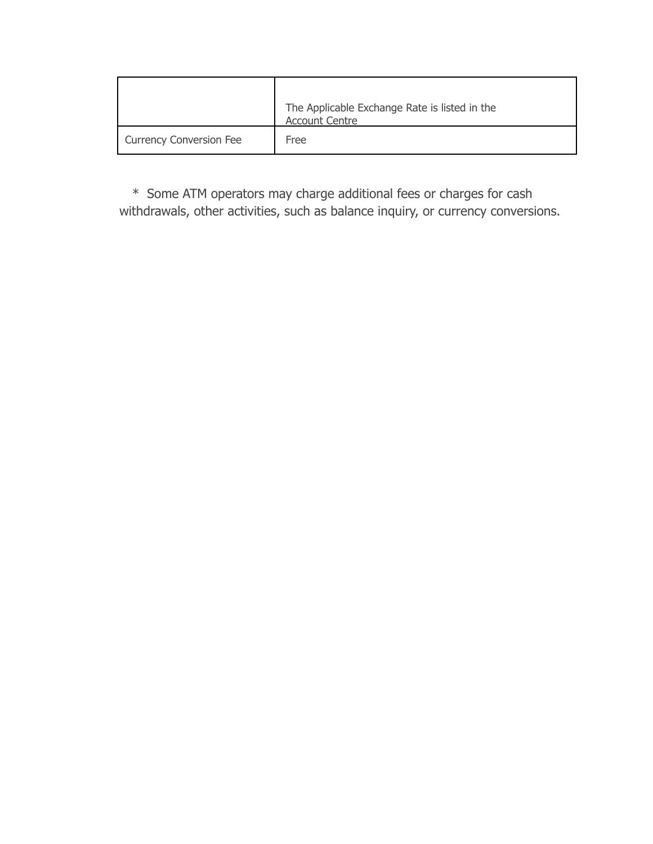|                                | The Applicable Exchange Rate is listed in the<br><b>Account Centre</b> |  |
|--------------------------------|------------------------------------------------------------------------|--|
| <b>Currency Conversion Fee</b> | Free                                                                   |  |

\* Some ATM operators may charge additional fees or charges for cash withdrawals, other activities, such as balance inquiry, or currency conversions.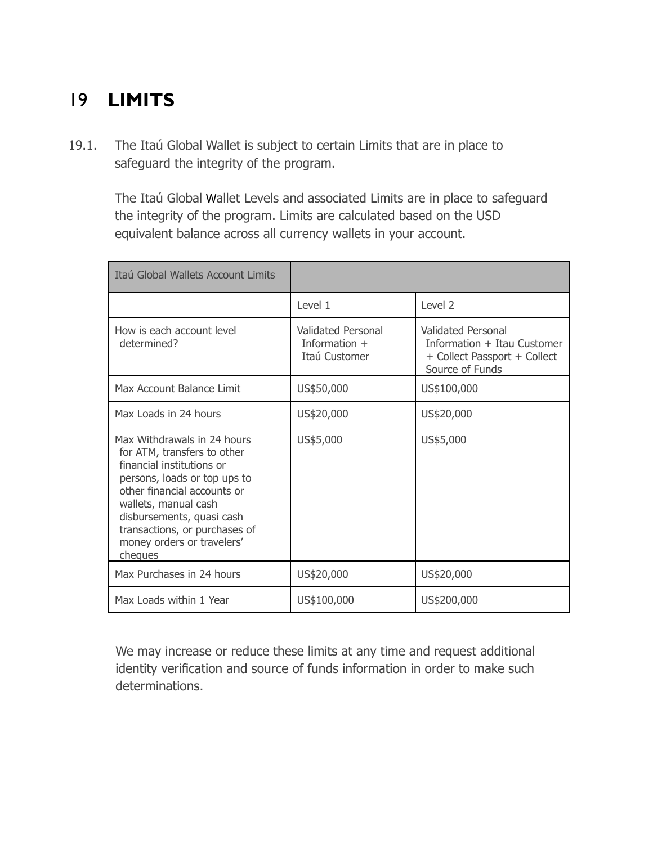# 19 **LIMITS**

19.1. The Itaú Global Wallet is subject to certain Limits that are in place to safeguard the integrity of the program.

> The Itaú Global Wallet Levels and associated Limits are in place to safeguard the integrity of the program. Limits are calculated based on the USD equivalent balance across all currency wallets in your account.

| Itaú Global Wallets Account Limits                                                                                                                                                                                                                                                    |                                                               |                                                                                                      |
|---------------------------------------------------------------------------------------------------------------------------------------------------------------------------------------------------------------------------------------------------------------------------------------|---------------------------------------------------------------|------------------------------------------------------------------------------------------------------|
|                                                                                                                                                                                                                                                                                       | Level 1                                                       | Level 2                                                                                              |
| How is each account level<br>determined?                                                                                                                                                                                                                                              | <b>Validated Personal</b><br>Information $+$<br>Itaú Customer | Validated Personal<br>Information + Itau Customer<br>+ Collect Passport + Collect<br>Source of Funds |
| Max Account Balance Limit                                                                                                                                                                                                                                                             | US\$50,000                                                    | US\$100,000                                                                                          |
| Max Loads in 24 hours                                                                                                                                                                                                                                                                 | US\$20,000                                                    | US\$20,000                                                                                           |
| Max Withdrawals in 24 hours<br>for ATM, transfers to other<br>financial institutions or<br>persons, loads or top ups to<br>other financial accounts or<br>wallets, manual cash<br>disbursements, quasi cash<br>transactions, or purchases of<br>money orders or travelers'<br>cheques | US\$5,000                                                     | US\$5,000                                                                                            |
| Max Purchases in 24 hours                                                                                                                                                                                                                                                             | US\$20,000                                                    | US\$20,000                                                                                           |
| Max Loads within 1 Year                                                                                                                                                                                                                                                               | US\$100,000                                                   | US\$200,000                                                                                          |

We may increase or reduce these limits at any time and request additional identity verification and source of funds information in order to make such determinations.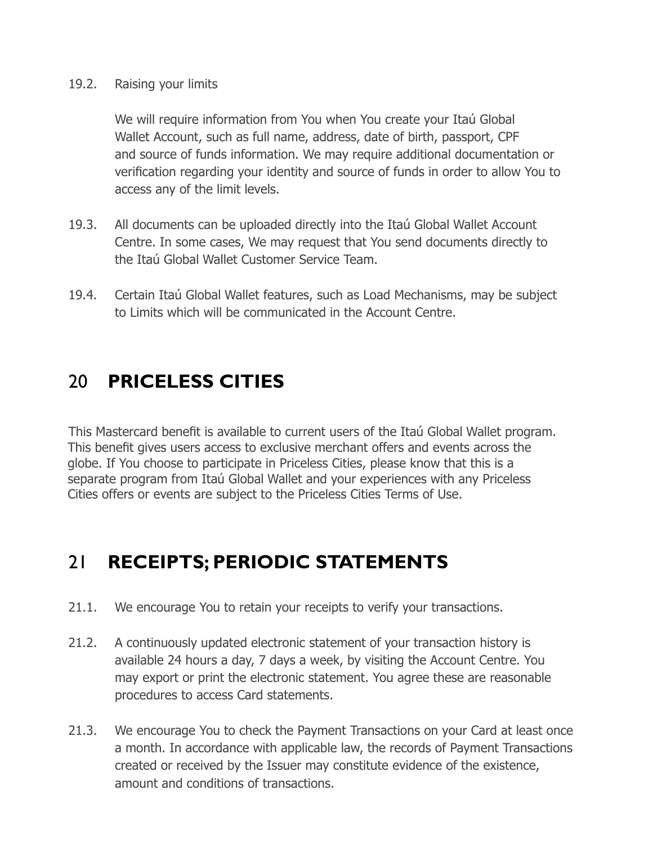#### 19.2. Raising your limits

We will require information from You when You create your Itaú Global Wallet Account, such as full name, address, date of birth, passport, CPF and source of funds information. We may require additional documentation or verification regarding your identity and source of funds in order to allow You to access any of the limit levels.

- 19.3. All documents can be uploaded directly into the Itaú Global Wallet Account Centre. In some cases, We may request that You send documents directly to the Itaú Global Wallet Customer Service Team.
- 19.4. Certain Itaú Global Wallet features, such as Load Mechanisms, may be subject to Limits which will be communicated in the Account Centre.

## 20 **PRICELESS CITIES**

This Mastercard benefit is available to current users of the Itaú Global Wallet program. This benefit gives users access to exclusive merchant offers and events across the globe. If You choose to participate in Priceless Cities, please know that this is a separate program from Itaú Global Wallet and your experiences with any Priceless Cities offers or events are subject to the Priceless Cities Terms of Use.

## 21 **RECEIPTS; PERIODIC STATEMENTS**

- 21.1. We encourage You to retain your receipts to verify your transactions.
- 21.2. A continuously updated electronic statement of your transaction history is available 24 hours a day, 7 days a week, by visiting the Account Centre. You may export or print the electronic statement. You agree these are reasonable procedures to access Card statements.
- 21.3. We encourage You to check the Payment Transactions on your Card at least once a month. In accordance with applicable law, the records of Payment Transactions created or received by the Issuer may constitute evidence of the existence, amount and conditions of transactions.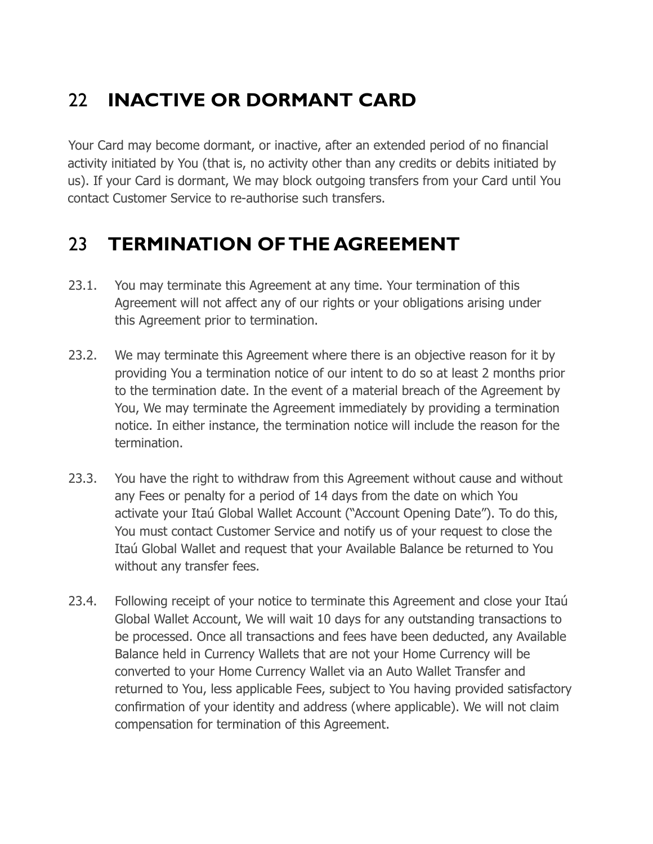# 22 **INACTIVE OR DORMANT CARD**

Your Card may become dormant, or inactive, after an extended period of no financial activity initiated by You (that is, no activity other than any credits or debits initiated by us). If your Card is dormant, We may block outgoing transfers from your Card until You contact Customer Service to re-authorise such transfers.

#### 23 **TERMINATION OF THE AGREEMENT**

- 23.1. You may terminate this Agreement at any time. Your termination of this Agreement will not affect any of our rights or your obligations arising under this Agreement prior to termination.
- 23.2. We may terminate this Agreement where there is an objective reason for it by providing You a termination notice of our intent to do so at least 2 months prior to the termination date. In the event of a material breach of the Agreement by You, We may terminate the Agreement immediately by providing a termination notice. In either instance, the termination notice will include the reason for the termination.
- 23.3. You have the right to withdraw from this Agreement without cause and without any Fees or penalty for a period of 14 days from the date on which You activate your Itaú Global Wallet Account ("Account Opening Date"). To do this, You must contact Customer Service and notify us of your request to close the Itaú Global Wallet and request that your Available Balance be returned to You without any transfer fees.
- 23.4. Following receipt of your notice to terminate this Agreement and close your Itaú Global Wallet Account, We will wait 10 days for any outstanding transactions to be processed. Once all transactions and fees have been deducted, any Available Balance held in Currency Wallets that are not your Home Currency will be converted to your Home Currency Wallet via an Auto Wallet Transfer and returned to You, less applicable Fees, subject to You having provided satisfactory confirmation of your identity and address (where applicable). We will not claim compensation for termination of this Agreement.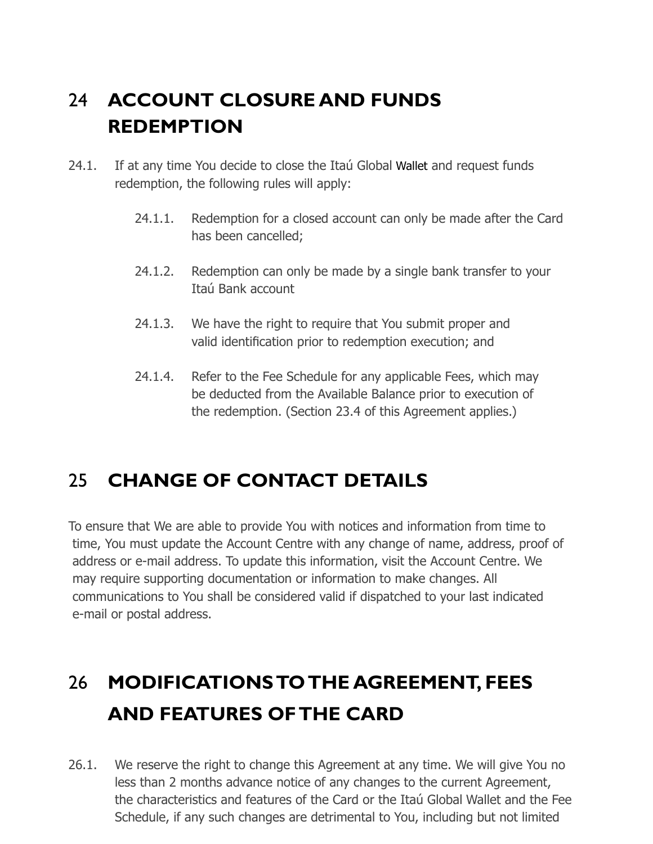# 24 **ACCOUNT CLOSURE AND FUNDS REDEMPTION**

- 24.1. If at any time You decide to close the Itaú Global Wallet and request funds redemption, the following rules will apply:
	- 24.1.1. Redemption for a closed account can only be made after the Card has been cancelled;
	- 24.1.2. Redemption can only be made by a single bank transfer to your Itaú Bank account
	- 24.1.3. We have the right to require that You submit proper and valid identification prior to redemption execution; and
	- 24.1.4. Refer to the Fee Schedule for any applicable Fees, which may be deducted from the Available Balance prior to execution of the redemption. (Section 23.4 of this Agreement applies.)

## 25 **CHANGE OF CONTACT DETAILS**

To ensure that We are able to provide You with notices and information from time to time, You must update the Account Centre with any change of name, address, proof of address or e-mail address. To update this information, visit the Account Centre. We may require supporting documentation or information to make changes. All communications to You shall be considered valid if dispatched to your last indicated e-mail or postal address.

# 26 **MODIFICATIONS TO THE AGREEMENT, FEES AND FEATURES OF THE CARD**

26.1. We reserve the right to change this Agreement at any time. We will give You no less than 2 months advance notice of any changes to the current Agreement, the characteristics and features of the Card or the Itaú Global Wallet and the Fee Schedule, if any such changes are detrimental to You, including but not limited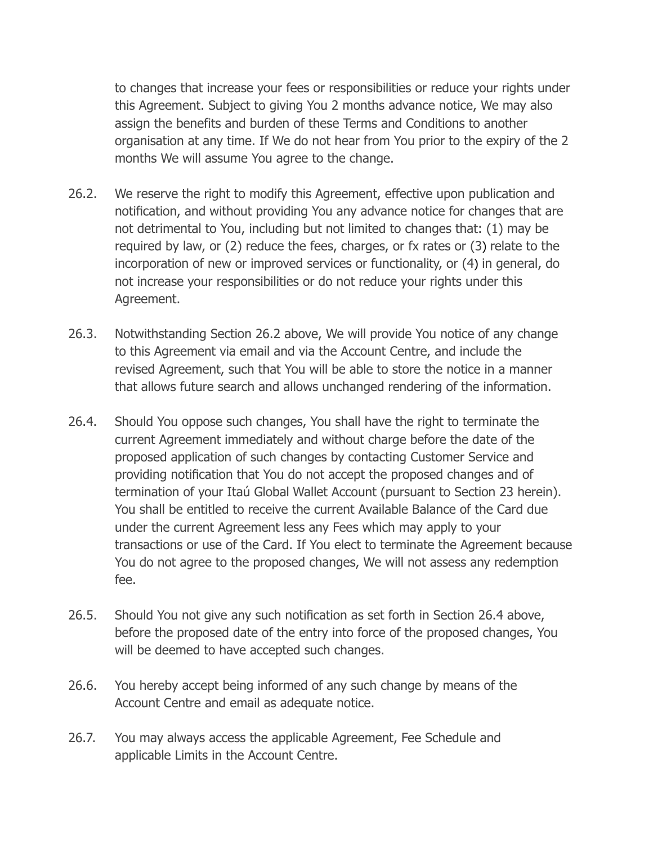to changes that increase your fees or responsibilities or reduce your rights under this Agreement. Subject to giving You 2 months advance notice, We may also assign the benefits and burden of these Terms and Conditions to another organisation at any time. If We do not hear from You prior to the expiry of the 2 months We will assume You agree to the change.

- 26.2. We reserve the right to modify this Agreement, effective upon publication and notification, and without providing You any advance notice for changes that are not detrimental to You, including but not limited to changes that: (1) may be required by law, or (2) reduce the fees, charges, or fx rates or (3) relate to the incorporation of new or improved services or functionality, or (4) in general, do not increase your responsibilities or do not reduce your rights under this Agreement.
- 26.3. Notwithstanding Section 26.2 above, We will provide You notice of any change to this Agreement via email and via the Account Centre, and include the revised Agreement, such that You will be able to store the notice in a manner that allows future search and allows unchanged rendering of the information.
- 26.4. Should You oppose such changes, You shall have the right to terminate the current Agreement immediately and without charge before the date of the proposed application of such changes by contacting Customer Service and providing notification that You do not accept the proposed changes and of termination of your Itaú Global Wallet Account (pursuant to Section 23 herein). You shall be entitled to receive the current Available Balance of the Card due under the current Agreement less any Fees which may apply to your transactions or use of the Card. If You elect to terminate the Agreement because You do not agree to the proposed changes, We will not assess any redemption fee.
- 26.5. Should You not give any such notification as set forth in Section 26.4 above, before the proposed date of the entry into force of the proposed changes, You will be deemed to have accepted such changes.
- 26.6. You hereby accept being informed of any such change by means of the Account Centre and email as adequate notice.
- 26.7. You may always access the applicable Agreement, Fee Schedule and applicable Limits in the Account Centre.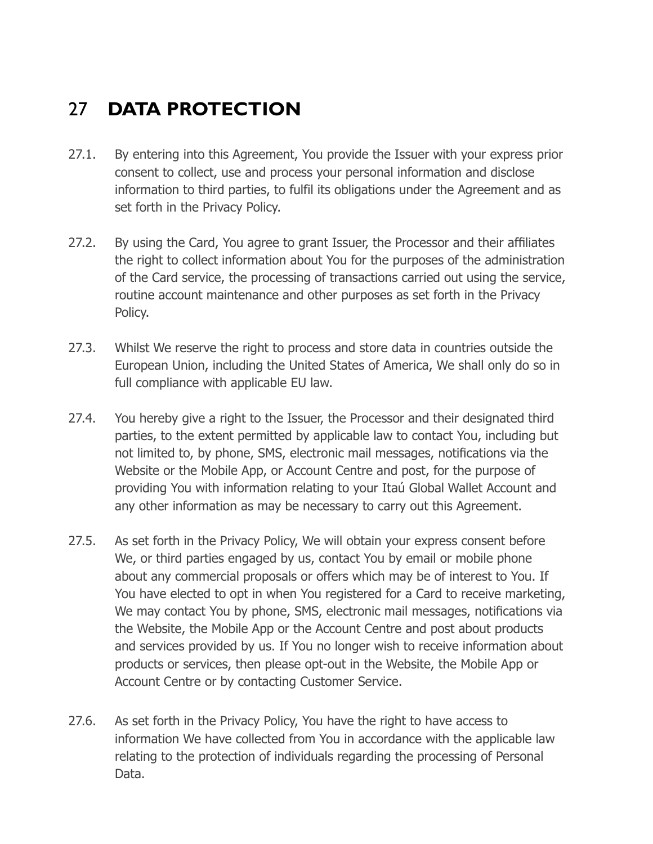## 27 **DATA PROTECTION**

- 27.1. By entering into this Agreement, You provide the Issuer with your express prior consent to collect, use and process your personal information and disclose information to third parties, to fulfil its obligations under the Agreement and as set forth in the Privacy Policy.
- 27.2. By using the Card, You agree to grant Issuer, the Processor and their affiliates the right to collect information about You for the purposes of the administration of the Card service, the processing of transactions carried out using the service, routine account maintenance and other purposes as set forth in the Privacy Policy.
- 27.3. Whilst We reserve the right to process and store data in countries outside the European Union, including the United States of America, We shall only do so in full compliance with applicable EU law.
- 27.4. You hereby give a right to the Issuer, the Processor and their designated third parties, to the extent permitted by applicable law to contact You, including but not limited to, by phone, SMS, electronic mail messages, notifications via the Website or the Mobile App, or Account Centre and post, for the purpose of providing You with information relating to your Itaú Global Wallet Account and any other information as may be necessary to carry out this Agreement.
- 27.5. As set forth in the Privacy Policy, We will obtain your express consent before We, or third parties engaged by us, contact You by email or mobile phone about any commercial proposals or offers which may be of interest to You. If You have elected to opt in when You registered for a Card to receive marketing, We may contact You by phone, SMS, electronic mail messages, notifications via the Website, the Mobile App or the Account Centre and post about products and services provided by us. If You no longer wish to receive information about products or services, then please opt-out in the Website, the Mobile App or Account Centre or by contacting Customer Service.
- 27.6. As set forth in the Privacy Policy, You have the right to have access to information We have collected from You in accordance with the applicable law relating to the protection of individuals regarding the processing of Personal Data.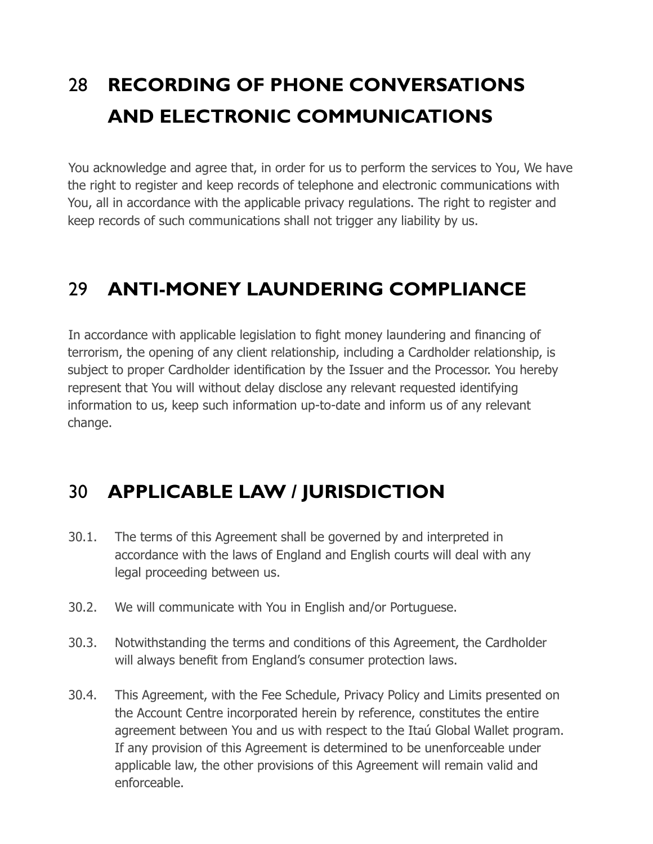# 28 **RECORDING OF PHONE CONVERSATIONS AND ELECTRONIC COMMUNICATIONS**

You acknowledge and agree that, in order for us to perform the services to You, We have the right to register and keep records of telephone and electronic communications with You, all in accordance with the applicable privacy regulations. The right to register and keep records of such communications shall not trigger any liability by us.

#### 29 **ANTI-MONEY LAUNDERING COMPLIANCE**

In accordance with applicable legislation to fight money laundering and financing of terrorism, the opening of any client relationship, including a Cardholder relationship, is subject to proper Cardholder identification by the Issuer and the Processor. You hereby represent that You will without delay disclose any relevant requested identifying information to us, keep such information up-to-date and inform us of any relevant change.

#### 30 **APPLICABLE LAW / JURISDICTION**

- 30.1. The terms of this Agreement shall be governed by and interpreted in accordance with the laws of England and English courts will deal with any legal proceeding between us.
- 30.2. We will communicate with You in English and/or Portuguese.
- 30.3. Notwithstanding the terms and conditions of this Agreement, the Cardholder will always benefit from England's consumer protection laws.
- 30.4. This Agreement, with the Fee Schedule, Privacy Policy and Limits presented on the Account Centre incorporated herein by reference, constitutes the entire agreement between You and us with respect to the Itaú Global Wallet program. If any provision of this Agreement is determined to be unenforceable under applicable law, the other provisions of this Agreement will remain valid and enforceable.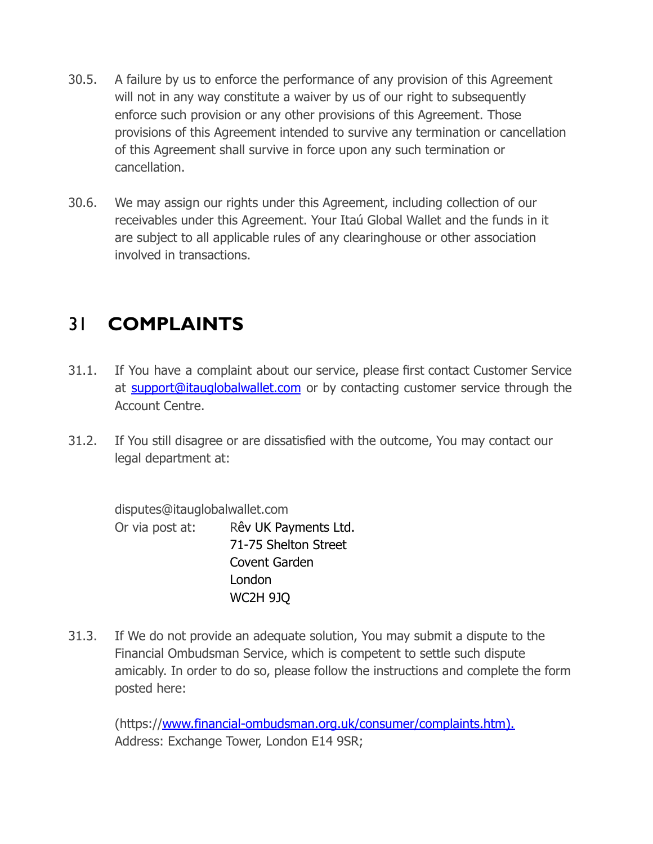- 30.5. A failure by us to enforce the performance of any provision of this Agreement will not in any way constitute a waiver by us of our right to subsequently enforce such provision or any other provisions of this Agreement. Those provisions of this Agreement intended to survive any termination or cancellation of this Agreement shall survive in force upon any such termination or cancellation.
- 30.6. We may assign our rights under this Agreement, including collection of our receivables under this Agreement. Your Itaú Global Wallet and the funds in it are subject to all applicable rules of any clearinghouse or other association involved in transactions.

#### 31 **COMPLAINTS**

- 31.1. If You have a complaint about our service, please first contact Customer Service at [support@itauglobalwallet.](mailto:support@itauglobalwallet.com)com or by contacting customer service through the Account Centre.
- 31.2. If You still disagree or are dissatisfied with the outcome, You may contact our legal department at:

disputes@itauglobalwallet.com Or via post at: Rêv UK Payments Ltd. 71-75 Shelton Street Covent Garden London WC2H 9JQ

31.3. If We do not provide an adequate solution, You may submit a dispute to the Financial Ombudsman Service, which is competent to settle such dispute amicably. In order to do so, please follow the instructions and complete the form posted here:

(https:/[/www.financial-ombudsman.org.uk/consumer/complaints.htm\).](http://www.financial-ombudsman.org.uk/consumer/complaints.htm).) Address: Exchange Tower, London E14 9SR;